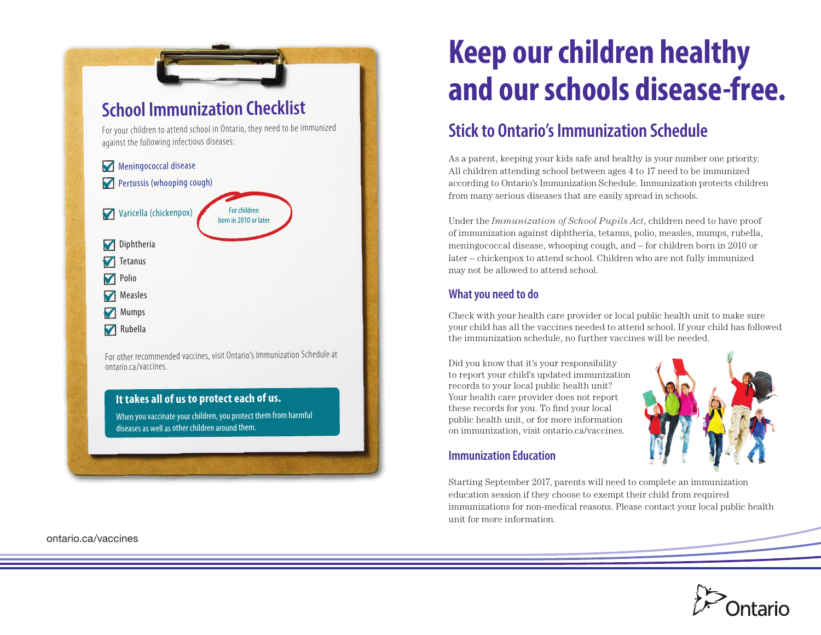

[ontario.ca/vaccines](http://ontario.ca/vaccines)

# **Keep our children healthy and our schools disease-free.**

## **Stick to Ontario's Immunization Schedule**

As a parent, keeping your kids safe and healthy is your number one priority. All children attending school between ages 4 to 17 need to be immunized according to Ontario's Immunization Schedule. Immunization protects children from many serious diseases that are easily spread in schools.

Under the *Immunization of School Pupils Act*, children need to have proof of immunization against diphtheria, tetanus, polio, measles, mumps, rubella, meningococcal disease, whooping cough, and – for children born in 2010 or later – chickenpox to attend school. Children who are not fully immunized may not be allowed to attend school.

### **What you need to do**

Check with your health care provider or local public health unit to make sure your child has all the vaccines needed to attend school. If your child has followed the immunization schedule, no further vaccines will be needed.

Did you know that it's your responsibility to report your child's updated immunization records to your local public health unit? Your health care provider does not report these records for you. To find your local public health unit, or for more information on immunization, visit [ontario.ca/vaccines](http://ontario.ca/vaccines).



#### **Immunization Education**

Starting September 2017, parents will need to complete an immunization education session if they choose to exempt their child from required immunizations for non-medical reasons. Please contact your local public health unit for more information.